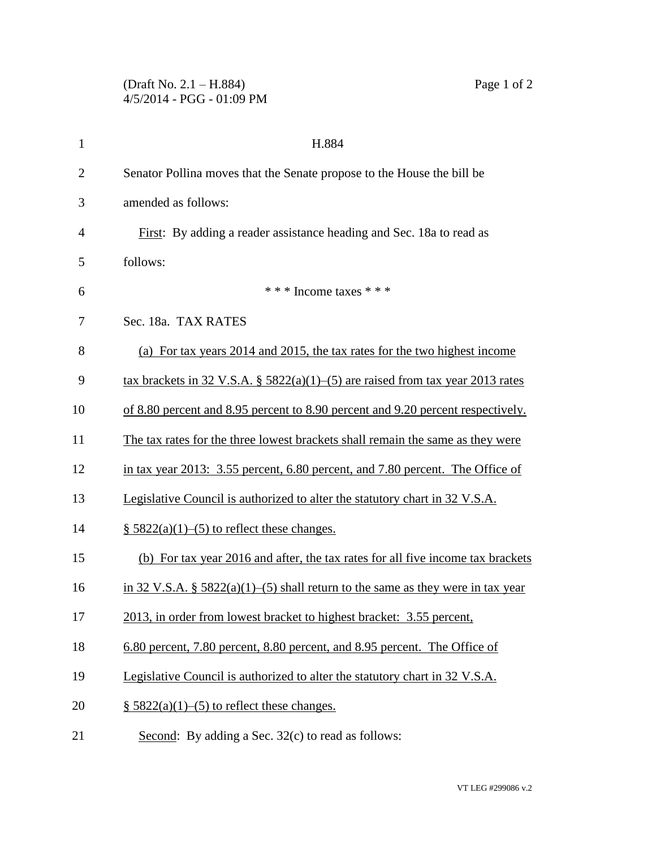## (Draft No. 2.1 – H.884) Page 1 of 2 4/5/2014 - PGG - 01:09 PM

| $\mathbf{1}$   | H.884                                                                              |
|----------------|------------------------------------------------------------------------------------|
| $\overline{2}$ | Senator Pollina moves that the Senate propose to the House the bill be             |
| 3              | amended as follows:                                                                |
| $\overline{4}$ | First: By adding a reader assistance heading and Sec. 18a to read as               |
| 5              | follows:                                                                           |
| 6              | * * * Income taxes * * *                                                           |
| 7              | Sec. 18a. TAX RATES                                                                |
| 8              | (a) For tax years 2014 and 2015, the tax rates for the two highest income          |
| 9              | tax brackets in 32 V.S.A. § $5822(a)(1)$ –(5) are raised from tax year 2013 rates  |
| 10             | of 8.80 percent and 8.95 percent to 8.90 percent and 9.20 percent respectively.    |
| 11             | The tax rates for the three lowest brackets shall remain the same as they were     |
| 12             | in tax year 2013: 3.55 percent, 6.80 percent, and 7.80 percent. The Office of      |
| 13             | Legislative Council is authorized to alter the statutory chart in 32 V.S.A.        |
| 14             | $\S$ 5822(a)(1)–(5) to reflect these changes.                                      |
| 15             | (b) For tax year 2016 and after, the tax rates for all five income tax brackets    |
| 16             | in 32 V.S.A. § $5822(a)(1)$ –(5) shall return to the same as they were in tax year |
| 17             | 2013, in order from lowest bracket to highest bracket: 3.55 percent,               |
| 18             | 6.80 percent, 7.80 percent, 8.80 percent, and 8.95 percent. The Office of          |
| 19             | Legislative Council is authorized to alter the statutory chart in 32 V.S.A.        |
| 20             | $\S$ 5822(a)(1)–(5) to reflect these changes.                                      |
| 21             | Second: By adding a Sec. 32(c) to read as follows:                                 |